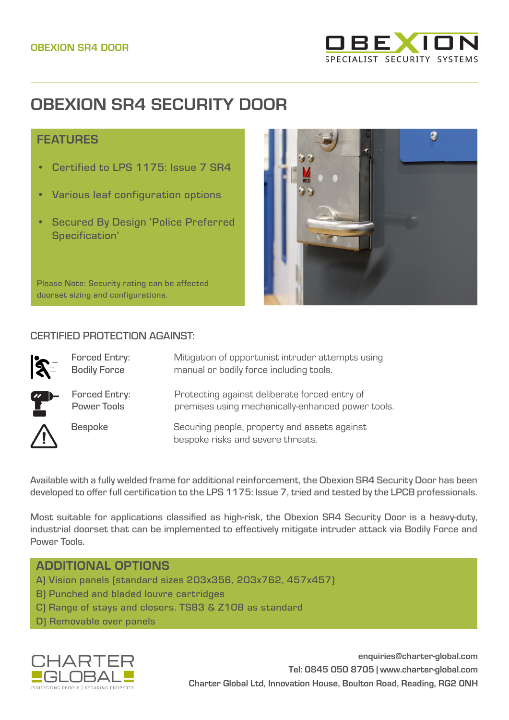

# **OBEXION SR4 SECURITY DOOR**

## **FFATURES**

- Certified to LPS 1175: Issue 7 SR4
- Various leaf configuration options
- Secured By Design 'Police Preferred Specification'



Please Note: Security rating can be affected doorset sizing and configurations.

#### CERTIFIED PROTECTION AGAINST:

| $\mathbf{\hat{R}}$ | <b>Forced Entry:</b><br><b>Bodily Force</b> | Mitigation of opportunist intruder attempts using<br>manual or bodily force including tools.       |
|--------------------|---------------------------------------------|----------------------------------------------------------------------------------------------------|
| <b>gu</b> r        | <b>Forced Entry:</b><br><b>Power Tools</b>  | Protecting against deliberate forced entry of<br>premises using mechanically-enhanced power tools. |
|                    | <b>Bespoke</b>                              | Securing people, property and assets against<br>bespoke risks and severe threats.                  |

Available with a fully welded frame for additional reinforcement, the Obexion SR4 Security Door has been developed to offer full certification to the LPS 1175: Issue 7, tried and tested by the LPCB professionals.

Most suitable for applications classified as high-risk, the Obexion SR4 Security Door is a heavy-duty, industrial doorset that can be implemented to effectively mitigate intruder attack via Bodily Force and Power Tools.

## ADDITIONAL OPTIONS

- A) Vision panels (standard sizes 203x356, 203x762, 457x457)
- B) Punched and bladed louvre cartridges
- C) Range of stays and closers. TS83 & Z108 as standard
- D) Removable over panels



**enquiries@charter-global.com Tel: 0845 050 8705 | [www.charter-global.com](http://www.charter-global.com) Charter Global Ltd, Innovation House, Boulton Road, Reading, RG2 0NH**